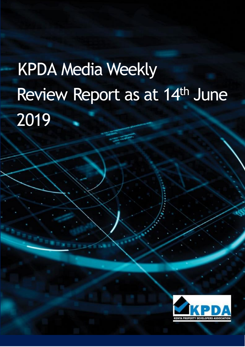# KPDA Media Weekly Review Report as at 14th June 2019

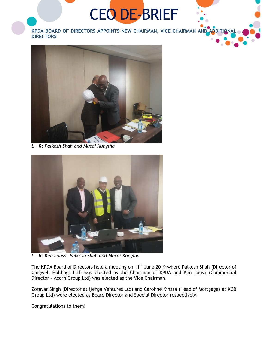## CEO DE-BRIEF

**KPDA BOARD OF DIRECTORS APPOINTS NEW CHAIRMAN, VICE CHAIRMAN AND ADDITIONAL DIRECTORS**



*L – R: Palkesh Shah and Mucai Kunyiha*



*L – R: Ken Luusa, Palkesh Shah and Mucai Kunyiha*

The KPDA Board of Directors held a meeting on 11<sup>th</sup> June 2019 where Palkesh Shah (Director of Chigwell Holdings Ltd) was elected as the Chairman of KPDA and Ken Luusa (Commercial Director – Acorn Group Ltd) was elected as the Vice Chairman.

Zoravar Singh (Director at ijenga Ventures Ltd) and Caroline Kihara (Head of Mortgages at KCB Group Ltd) were elected as Board Director and Special Director respectively.

Congratulations to them!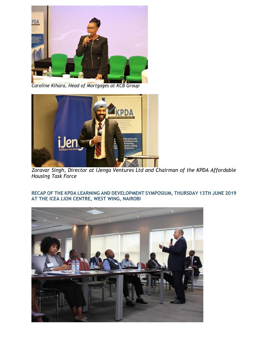

*Caroline Kihara, Head of Mortgages at KCB Group*



*Zoravar Singh, Director at iJenga Ventures Ltd and Chairman of the KPDA Affordable Housing Task Force*

**RECAP OF THE KPDA LEARNING AND DEVELOPMENT SYMPOSIUM, THURSDAY 13TH JUNE 2019 AT THE ICEA LION CENTRE, WEST WING, NAIROBI**

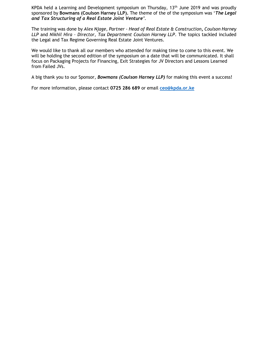KPDA held a Learning and Development symposium on Thursday, 13<sup>th</sup> June 2019 and was proudly sponsored by **Bowmans (Coulson Harney LLP).** The theme of the of the symposium was '*The Legal and Tax Structuring of a Real Estate Joint Venture'.* 

The training was done by *Alex Njage, Partner - Head of Real Estate & Construction, Coulson Harney LLP* and *Nikhil Hira – Director, Tax Department Coulson Harney LLP*. The topics tackled included the Legal and Tax Regime Governing Real Estate Joint Ventures.

We would like to thank all our members who attended for making time to come to this event. We will be holding the second edition of the symposium on a date that will be communicated. It shall focus on Packaging Projects for Financing, Exit Strategies for JV Directors and Lessons Learned from Failed JVs.

A big thank you to our Sponsor, *Bowmans (Coulson Harney LLP)* for making this event a success!

For more information, please contact **0725 286 689** or email **[ceo@kpda.or.ke](mailto:ceo@kpda.or.ke)**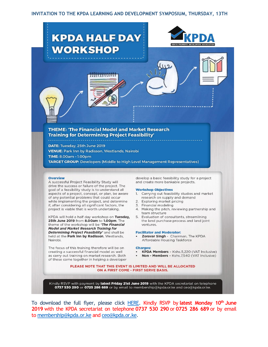#### **INVITATION TO THE KPDA LEARNING AND DEVELOPMENT SYMPOSIUM, THURSDAY, 13TH**



To download the full flyer, please click [HERE.](file:///C:/Users/KPDA/Desktop/KPDA%20half%20day%20workshop/Invitation%20to%20the%20KPDA%20Half%20Day%20Workshop,%2025th%20June%202019%20-%20INVITATION%20FLYER.pdf) Kindly RSVP by **latest Monday 10th June 2019** with the KPDA secretariat on telephone **0737 530 290** or **0725 286 689** or by email to [membership@kpda.or.ke](mailto:membership@kpda.or.ke) an[d ceo@kpda.or.ke.](mailto:ceo@kpda.or.ke)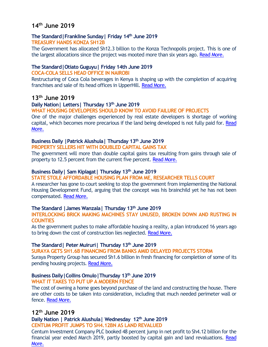## **14th June 2019**

#### **The Standard|Frankline Sunday| Friday 14th June 2019 TREASURY HANDS KONZA SH12B**

The Government has allocated Sh12.3 billion to the Konza Technopolis project. This is one of the largest allocations since the project was mooted more than six years ago[. Read More.](https://www.standardmedia.co.ke/business/article/2001329766/treasury-hands-konza-sh12b)

#### **The Standard|Otiato Guguyu| Friday 14th June 2019**

#### **COCA-COLA SELLS HEAD OFFICE IN NAIROBI**

Restructuring of Coca Cola beverages in Kenya is shaping up with the completion of acquiring franchises and sale of its head offices in UpperHill[. Read More.](https://www.standardmedia.co.ke/business/article/2001329826/coca-cola-sells-head-office-in-nairobi)

## **13th June 2019**

#### **Daily Nation| Letters| Thursday 13th June 2019**

**WHAT HOUSING DEVELOPERS SHOULD KNOW TO AVOID FAILURE OF PROJECTS**

One of the major challenges experienced by real estate developers is shortage of working capital, which becomes more precarious if the land being developed is not fully paid for. [Read](https://www.nation.co.ke/oped/letters/What-housing-developers-should-know/440806-5154916-qebc99/index.html)  [More.](https://www.nation.co.ke/oped/letters/What-housing-developers-should-know/440806-5154916-qebc99/index.html)

## **Business Daily |Patrick Alushula| Thursday 13th June 2019**

**PROPERTY SELLERS HIT WITH DOUBLED CAPITAL GAINS TAX**

The government will more than double capital gains tax resulting from gains through sale of property to 12.5 percent from the current five percent[. Read More.](https://www.businessdailyafrica.com/news/Property-sellers-hit-with-doubled-capital-gains-tax/539546-5156650-5qayoq/index.html)

#### **Business Daily| Sam Kiplagat| Thursday 13th June 2019**

#### **STATE STOLE AFFORDABLE HOUSING PLAN FROM ME, RESEARCHER TELLS COURT**

A researcher has gone to court seeking to stop the government from implementing the National Housing Development Fund, arguing that the concept was his brainchild yet he has not been compensated. [Read More.](https://www.businessdailyafrica.com/economy/State-stole-my-low-cost-housing-idea/3946234-5156564-ue2opuz/index.html)

#### **The Standard |James Wanzala| Thursday 13th June 2019**

**INTERLOCKING BRICK MAKING MACHINES STAY UNUSED, BROKEN DOWN AND RUSTING IN COUNTIES**

As the government pushes to make affordable housing a reality, a plan introduced 16 years ago to bring down the cost of construction lies neglected[. Read More.](https://www.standardmedia.co.ke/business/article/2001329748/multi-million-shilling-machines-rust-as-state-pursues-new-dream)

## **The Standard| Peter Muiruri| Thursday 13th June 2019**

**SURAYA GETS SH1.6B FINANCING FROM BANKS AMID DELAYED PROJECTS STORM** Suraya Property Group has secured Sh1.6 billion in fresh financing for completion of some of its pending housing projects. [Read More.](https://www.standardmedia.co.ke/business/article/2001329718/reprieve-for-suraya-as-four-banks-inject-sh1-6bn-to-complete-projects)

## **Business Daily|Collins Omulo|Thursday 13th June 2019**

#### **WHAT IT TAKES TO PUT UP A MODERN FENCE**

The cost of owning a home goes beyond purchase of the land and constructing the house. There are other costs to be taken into consideration, including that much needed perimeter wall or fence[. Read More.](https://www.businessdailyafrica.com/lifestyle/gardening/The-cost-of-fencing/4273292-5156134-3aqajuz/index.html)

## **12th June 2019**

## **Daily Nation | Patrick Alushula| Wednesday 12th June 2019**

**CENTUM PROFIT JUMPS TO SH4.12BN AS LAND REVALUED**

Centum Investment Company PLC booked 48 percent jump in net profit to Sh4.12 billion for the financial year ended March 2019, partly boosted by capital gain and land revaluations. Read [More.](https://www.nation.co.ke/business/Centum-profit-jumps-to-Sh4-12bn/996-5155282-xxsrwe/index.html)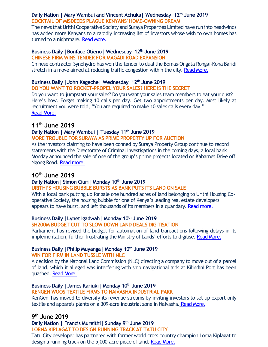## **Daily Nation | Mary Wambui and Vincent Achuka| Wednesday 12th June 2019 COCKTAIL OF MISDEEDS PLAGUE KENYANS' HOME-OWNING DREAM**

The news that Urithi Cooperative Society and Suraya Properties Limited have run into headwinds has added more Kenyans to a rapidly increasing list of investors whose wish to own homes has turned to a nightmare. [Read More.](https://www.nation.co.ke/business/The-elusive-home-owning-dream/996-5153718-gx3cjn/index.html)

#### **Business Daily |Bonface Otieno| Wednesday 12th June 2019 CHINESE FIRM WINS TENDER FOR MAGADI ROAD EXPANSION**

Chinese contractor Synohydro has won the tender to dual the Bomas-Ongata Rongai-Kona Baridi stretch in a move aimed at reducing traffic congestion within the city. [Read More.](https://www.businessdailyafrica.com/news/Chinese-firm-wins-tender-for-Magadi-road-expansion/539546-5154790-4xesyy/index.html)

## **Business Daily |John Kageche| Wednesday 12th June 2019**

**DO YOU WANT TO ROCKET-PROPEL YOUR SALES? HERE IS THE SECRET**

Do you want to jumpstart your sales? Do you want your sales team members to eat your dust? Here's how. Forget making 10 calls per day. Get two appointments per day. Most likely at recruitment you were told, "You are required to make 10 sales calls every day." [Read More.](https://www.businessdailyafrica.com/lifestyle/society/One-simple-trick-to-rocket-propel-your-sales/3405664-5154908-eqjtn6/index.html)

## **11th June 2019**

## **Daily Nation | Mary Wambui | Tuesday 11th June 2019**

## **MORE TROUBLE FOR SURAYA AS PRIME PROPERTY UP FOR AUCTION**

As the investors claiming to have been conned by Suraya Property Group continue to record statements with the Directorate of Criminal Investigations in the coming days, a local bank Monday announced the sale of one of the group's prime projects located on Kabarnet Drive off Ngong Road[. Read more.](https://www.nation.co.ke/news/More-trouble-for-Suraya-as-prime-property-up-for-auction/1056-5152388-fhyh84z/index.html)

## **10th June 2019**

## **Daily Nation| Simon Ciuri| Monday 10th June 2019**

## **URITHI'S HOUSING BUBBLE BURSTS AS BANK PUTS ITS LAND ON SALE**

With a local bank putting up for sale one hundred acres of land belonging to Urithi Housing Cooperative Society, the housing bubble for one of Kenya's leading real estate developers appears to have burst, and left thousands of its members in a quandary. [Read more.](https://www.nation.co.ke/news/Urithi-s-housing-bubble-bursts-as-bank-puts-up-land-for-sale/1056-5150994-8hu1if/index.html)

## **Business Daily |Lynet Igadwah| Monday 10th June 2019**

## **SH200M BUDGET CUT TO SLOW DOWN LAND DEALS DIGITISATION**

Parliament has revised the budget for automation of land transactions following delays in its implementation, further frustrating the Ministry of Lands' efforts to digitise. [Read More.](https://www.businessdailyafrica.com/economy/Budget-cut-to-slow-down-land-deals-digitisation/3946234-5152254-1vtqw7/index.html)

## **Business Daily |Philip Muyanga| Monday 10th June 2019**

## **WIN FOR FIRM IN LAND TUSSLE WITH NLC**

A decision by the National Land Commission (NLC) directing a company to move out of a parcel of land, which it alleged was interfering with ship navigational aids at Kilindini Port has been quashed[. Read More.](https://www.businessdailyafrica.com/corporate/companies/Win-for-firm-in-land-tussle-with-NLC/4003102-5152220-fr6cxd/index.html)

## **Business Daily |James Kariuki| Monday 10th June 2019**

## **KENGEN WOOS TEXTILE FIRMS TO NAIVASHA INDUSTRIAL PARK**

KenGen has moved to diversify its revenue streams by inviting investors to set up export-only textile and apparels plants on a 309-acre industrial zone in Naivasha. [Read More.](https://www.businessdailyafrica.com/markets/marketnews/KenGen-invites-firms-Naivasha-industrial-park/3815534-5151938-d84iayz/index.html)

## **9 th June 2019**

## **Daily Nation | Francis Mureithi| Sunday 9 th June 2019**

**LORNA KIPLAGAT TO DESIGN RUNNING TRACK AT TATU CITY**

Tatu City developer has partnered with former world cross country champion Lorna Kiplagat to design a running track on the 5,000-acre piece of land. [Read More.](https://www.nation.co.ke/sports/athletics/Lorna-Kiplagat-to-design-running-track-at-Tatu-City--/1100-5151126-rm1i02z/index.html)